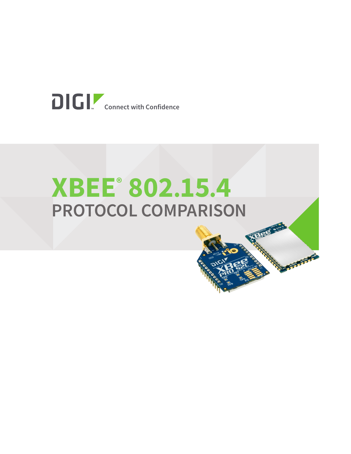

# **XBEE® 802.15.4 PROTOCOL COMPARISON**

**Letter Company**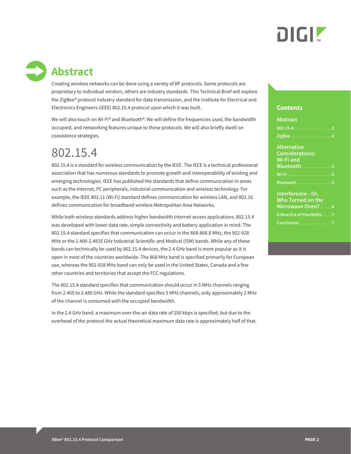

# **Abstract**

Creating wireless networks can be done using a variety of RF protocols. Some protocols are proprietary to individual vendors, others are industry standards. This Technical Brief will explore the ZigBee® protocol industry standard for data transmission, and the Institute for Electrical and Electronics Engineers (IEEE) 802.15.4 protocol upon which it was built.

We will also touch on Wi-Fi® and Bluetooth®. We will define the frequencies used, the bandwidth occupied, and networking features unique to these protocols. We will also briefly dwell on coexistence strategies.

## 802.15.4

802.15.4 is a standard for wireless communication by the IEEE. The IEEE is a technical professional association that has numerous standards to promote growth and interoperability of existing and emerging technologies. IEEE has published the standards that define communication in areas such as the Internet, PC peripherals, industrial communication and wireless technology. For example, the IEEE 802.11 (Wi-Fi) standard defines communication for wireless LAN, and 802.16 defines communication for broadband wireless Metropolitan Area Networks.

While both wireless standards address higher bandwidth Internet access applications, 802.15.4 was developed with lower data rate, simple connectivity and battery application in mind. The 802.15.4 standard specifies that communication can occur in the 868-868.8 MHz, the 902-928 MHz or the 2.400-2.4835 GHz Industrial Scientific and Medical (ISM) bands. While any of these bands can technically be used by 802.15.4 devices, the 2.4 GHz band is more popular as it is open in most of the countries worldwide. The 868 MHz band is specified primarily for European use, whereas the 902-928 MHz band can only be used in the United States, Canada and a few other countries and territories that accept the FCC regulations.

The 802.15.4 standard specifies that communication should occur in 5 MHz channels ranging from 2.405 to 2.480 GHz. While the standard specifies 5 MHz channels, only approximately 2 MHz of the channel is consumed with the occupied bandwidth.

In the 2.4 GHz band, a maximum over-the-air data rate of 250 kbps is specified, but due to the overhead of the protocol the actual theoretical maximum data rate is approximately half of that.

### **Contents**

| <b>Abstract</b>                                                         |
|-------------------------------------------------------------------------|
|                                                                         |
| ZigBee 4                                                                |
| <b>Alternative</b><br><b>Considerations:</b><br>Wi-Fi and<br>Bluetooth5 |
|                                                                         |
| Bluetooth 5                                                             |
| Interference-Or,<br>Who Turned on the<br>Microwave Oven?6               |
| A New Era of Flexibility 7                                              |
| Conclusion 7                                                            |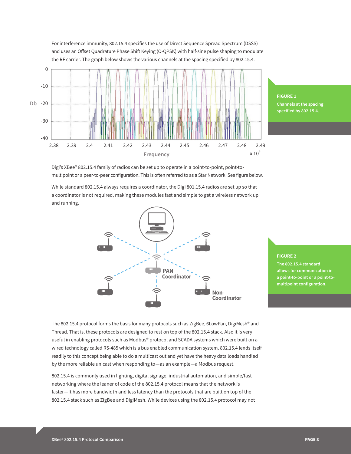

For interference immunity, 802.15.4 specifies the use of Direct Sequence Spread Spectrum (DSSS) and uses an Offset Quadrature Phase Shift Keying (O-QPSK) with half-sine pulse shaping to modulate

> **FIGURE 1 Channels at the spacing specified by 802.15.4.**

Digi's XBee® 802.15.4 family of radios can be set up to operate in a point-to-point, point-tomultipoint or a peer-to-peer configuration. This is often referred to as a Star Network. See figure below.

While standard 802.15.4 always requires a coordinator, the Digi 801.15.4 radios are set up so that a coordinator is not required, making these modules fast and simple to get a wireless network up and running.



### **FIGURE 2**

**The 802.15.4 standard allows for communication in a point-to-point or a point-tomultipoint configuration.**

The 802.15.4 protocol forms the basis for many protocols such as ZigBee, 6LowPan, DigiMesh® and Thread. That is, these protocols are designed to rest on top of the 802.15.4 stack. Also it is very useful in enabling protocols such as Modbus® protocol and SCADA systems which were built on a wired technology called RS-485 which is a bus enabled communication system. 802.15.4 lends itself readily to this concept being able to do a multicast out and yet have the heavy data loads handled by the more reliable unicast when responding to—as an example—a Modbus request.

802.15.4 is commonly used in lighting, digital signage, industrial automation, and simple/fast networking where the leaner of code of the 802.15.4 protocol means that the network is faster—it has more bandwidth and less latency than the protocols that are built on top of the 802.15.4 stack such as ZigBee and DigiMesh. While devices using the 802.15.4 protocol may not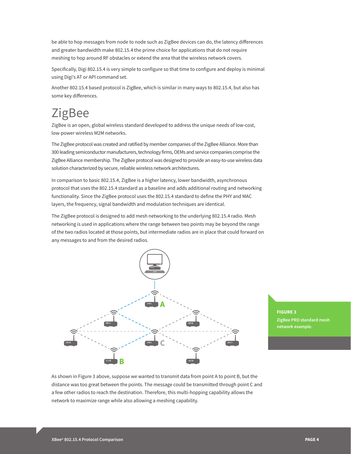be able to hop messages from node to node such as ZigBee devices can do, the latency differences and greater bandwidth make 802.15.4 the prime choice for applications that do not require meshing to hop around RF obstacles or extend the area that the wireless network covers.

Specifically, Digi 802.15.4 is very simple to configure so that time to configure and deploy is minimal using Digi's AT or API command set.

Another 802.15.4 based protocol is ZigBee, which is similar in many ways to 802.15.4, but also has some key differences.

## ZigBee

ZigBee is an open, global wireless standard developed to address the unique needs of low-cost, low-power wireless M2M networks.

The ZigBee protocol was created and ratified by member companies of the ZigBee Alliance. More than 300 leading semiconductor manufacturers, technology firms, OEMs and service companies comprise the ZigBee Alliance membership. The ZigBee protocol was designed to provide an easy-to-use wireless data solution characterized by secure, reliable wireless network architectures.

In comparison to basic 802.15.4, ZigBee is a higher latency, lower bandwidth, asynchronous protocol that uses the 802.15.4 standard as a baseline and adds additional routing and networking functionality. Since the ZigBee protocol uses the 802.15.4 standard to define the PHY and MAC layers, the frequency, signal bandwidth and modulation techniques are identical.

The ZigBee protocol is designed to add mesh networking to the underlying 802.15.4 radio. Mesh networking is used in applications where the range between two points may be beyond the range of the two radios located at those points, but intermediate radios are in place that could forward on any messages to and from the desired radios.



**FIGURE 3 ZigBee PRO standard mesh network example.**

As shown in Figure 3 above, suppose we wanted to transmit data from point A to point B, but the distance was too great between the points. The message could be transmitted through point C and a few other radios to reach the destination. Therefore, this multi-hopping capability allows the network to maximize range while also allowing a meshing capability.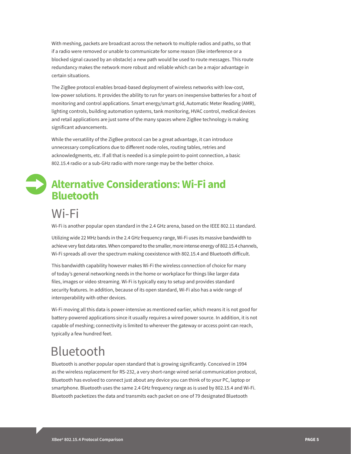With meshing, packets are broadcast across the network to multiple radios and paths, so that if a radio were removed or unable to communicate for some reason (like interference or a blocked signal caused by an obstacle) a new path would be used to route messages. This route redundancy makes the network more robust and reliable which can be a major advantage in certain situations.

The ZigBee protocol enables broad-based deployment of wireless networks with low-cost, low-power solutions. It provides the ability to run for years on inexpensive batteries for a host of monitoring and control applications. Smart energy/smart grid, Automatic Meter Reading (AMR), lighting controls, building automation systems, tank monitoring, HVAC control, medical devices and retail applications are just some of the many spaces where ZigBee technology is making significant advancements.

While the versatility of the ZigBee protocol can be a great advantage, it can introduce unnecessary complications due to different node roles, routing tables, retries and acknowledgments, etc. If all that is needed is a simple point-to-point connection, a basic 802.15.4 radio or a sub-GHz radio with more range may be the better choice.

## **Alternative Considerations: Wi-Fi and Bluetooth**

### Wi-Fi

Wi-Fi is another popular open standard in the 2.4 GHz arena, based on the IEEE 802.11 standard.

Utilizing wide 22 MHz bands in the 2.4 GHz frequency range, Wi-Fi uses its massive bandwidth to achieve very fast data rates. When compared to the smaller, more intense energy of 802.15.4 channels, Wi-Fi spreads all over the spectrum making coexistence with 802.15.4 and Bluetooth difficult.

This bandwidth capability however makes Wi-Fi the wireless connection of choice for many of today's general networking needs in the home or workplace for things like larger data files, images or video streaming. Wi-Fi is typically easy to setup and provides standard security features. In addition, because of its open standard, Wi-Fi also has a wide range of interoperability with other devices.

Wi-Fi moving all this data is power-intensive as mentioned earlier, which means it is not good for battery-powered applications since it usually requires a wired power source. In addition, it is not capable of meshing; connectivity is limited to wherever the gateway or access point can reach, typically a few hundred feet.

## Bluetooth

Bluetooth is another popular open standard that is growing significantly. Conceived in 1994 as the wireless replacement for RS-232, a very short-range wired serial communication protocol, Bluetooth has evolved to connect just about any device you can think of to your PC, laptop or smartphone. Bluetooth uses the same 2.4 GHz frequency range as is used by 802.15.4 and Wi-Fi. Bluetooth packetizes the data and transmits each packet on one of 79 designated Bluetooth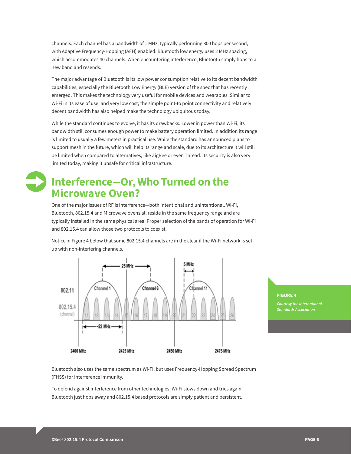channels. Each channel has a bandwidth of 1 MHz, typically performing 800 hops per second, with Adaptive Frequency-Hopping (AFH) enabled. Bluetooth low energy uses 2 MHz spacing, which accommodates 40 channels. When encountering interference, Bluetooth simply hops to a new band and resends.

The major advantage of Bluetooth is its low power consumption relative to its decent bandwidth capabilities, especially the Bluetooth Low Energy (BLE) version of the spec that has recently emerged. This makes the technology very useful for mobile devices and wearables. Similar to Wi-Fi in its ease of use, and very low cost, the simple point-to point connectivity and relatively decent bandwidth has also helped make the technology ubiquitous today.

While the standard continues to evolve, it has its drawbacks. Lower in power than Wi-Fi, its bandwidth still consumes enough power to make battery operation limited. In addition its range is limited to usually a few meters in practical use. While the standard has announced plans to support mesh in the future, which will help its range and scale, due to its architecture it will still be limited when compared to alternatives, like ZigBee or even Thread. Its security is also very limited today, making it unsafe for critical infrastructure.

### **Interference—Or, Who Turned on the Microwave Oven?**

One of the major issues of RF is interference—both intentional and unintentional. Wi-Fi, Bluetooth, 802.15.4 and Microwave ovens all reside in the same frequency range and are typically installed in the same physical area. Proper selection of the bands of operation for Wi-Fi and 802.15.4 can allow those two protocols to coexist.

Notice in Figure 4 below that some 802.15.4 channels are in the clear if the Wi-Fi network is set up with non-interfering channels.



### **FIGURE 4**

*Courtesy the International* 

Bluetooth also uses the same spectrum as Wi-Fi, but uses Frequency-Hopping Spread Spectrum (FHSS) for interference immunity.

To defend against interference from other technologies, Wi-Fi slows down and tries again. Bluetooth just hops away and 802.15.4 based protocols are simply patient and persistent.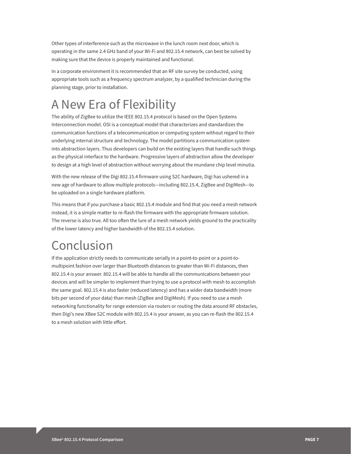Other types of interference such as the microwave in the lunch room next door, which is operating in the same 2.4 GHz band of your Wi-Fi and 802.15.4 network, can best be solved by making sure that the device is properly maintained and functional.

In a corporate environment it is recommended that an RF site survey be conducted, using appropriate tools such as a frequency spectrum analyzer, by a qualified technician during the planning stage, prior to installation.

## A New Era of Flexibility

The ability of ZigBee to utilize the IEEE 802.15.4 protocol is based on the Open Systems Interconnection model. OSI is a conceptual model that characterizes and standardizes the communication functions of a telecommunication or computing system without regard to their underlying internal structure and technology. The model partitions a communication system into abstraction layers. Thus developers can build on the existing layers that handle such things as the physical interface to the hardware. Progressive layers of abstraction allow the developer to design at a high level of abstraction without worrying about the mundane chip level minutia.

With the new release of the Digi 802.15.4 firmware using S2C hardware, Digi has ushered in a new age of hardware to allow multiple protocols—including 802.15.4, ZigBee and DigiMesh—to be uploaded on a single hardware platform.

This means that if you purchase a basic 802.15.4 module and find that you need a mesh network instead, it is a simple matter to re-flash the firmware with the appropriate firmware solution. The reverse is also true. All too often the lure of a mesh network yields ground to the practicality of the lower latency and higher bandwidth of the 802.15.4 solution.

CONCLUSION<br>If the application strictly needs to communicate serially in a point-to-point or a point-tomultipoint fashion over larger than Bluetooth distances to greater than Wi-Fi distances, then 802.15.4 is your answer. 802.15.4 will be able to handle all the communications between your devices and will be simpler to implement than trying to use a protocol with mesh to accomplish the same goal. 802.15.4 is also faster (reduced latency) and has a wider data bandwidth (more bits per second of your data) than mesh (ZigBee and DigiMesh). If you need to use a mesh networking functionality for range extension via routers or routing the data around RF obstacles, then Digi's new XBee S2C module with 802.15.4 is your answer, as you can re-flash the 802.15.4 to a mesh solution with little effort.